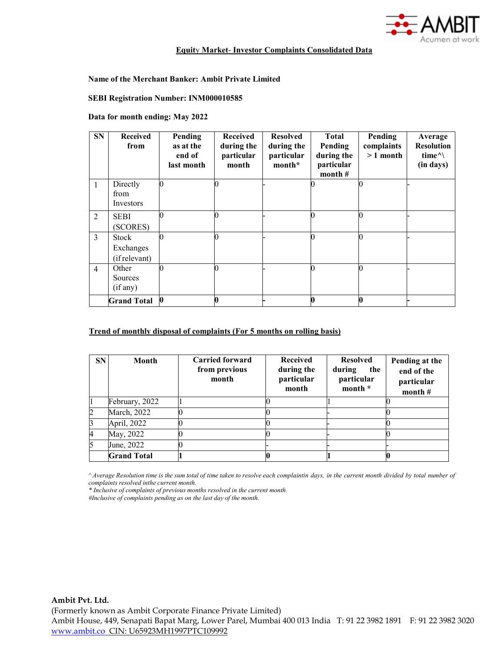

## **Equit**y **Market**- **Investor Complaints Consolidated Data**

## **Name of the Merchant Banker: Ambit Private Limited**

# **SEBI Registration Number: INM000010585**

### **Data for month ending: May 2022**

| <b>SN</b>      | <b>Received</b><br>from                    | Pending<br>as at the<br>end of<br>last month | <b>Received</b><br>during the<br>particular<br>month | <b>Resolved</b><br>during the<br>particular<br>month* | <b>Total</b><br>Pending<br>during the<br>particular<br>month $#$ | Pending<br>complaints<br>$>1$ month | Average<br><b>Resolution</b><br>time $\land$<br>(in days) |
|----------------|--------------------------------------------|----------------------------------------------|------------------------------------------------------|-------------------------------------------------------|------------------------------------------------------------------|-------------------------------------|-----------------------------------------------------------|
| $\mathbf{1}$   | Directly<br>from<br>Investors              |                                              |                                                      |                                                       |                                                                  |                                     |                                                           |
| 2              | <b>SEBI</b><br>(SCORES)                    |                                              |                                                      |                                                       |                                                                  |                                     |                                                           |
| 3              | <b>Stock</b><br>Exchanges<br>(if relevant) |                                              |                                                      |                                                       |                                                                  |                                     |                                                           |
| $\overline{4}$ | Other<br>Sources<br>(if any)               |                                              |                                                      |                                                       |                                                                  |                                     |                                                           |
|                | <b>Grand Total</b>                         | $\bf{0}$                                     | 0                                                    |                                                       |                                                                  |                                     |                                                           |

## **Trend of monthly disposal of complaints (For 5 months on rolling basis)**

| <b>SN</b>      | Month               | <b>Carried forward</b><br>from previous<br>month | <b>Received</b><br>during the<br>particular<br>month | <b>Resolved</b><br>during<br>the<br>particular<br>month * | Pending at the<br>end of the<br>particular<br>month $#$ |
|----------------|---------------------|--------------------------------------------------|------------------------------------------------------|-----------------------------------------------------------|---------------------------------------------------------|
|                | February, 2022      |                                                  |                                                      |                                                           |                                                         |
| $\overline{c}$ | <b>March</b> , 2022 |                                                  |                                                      |                                                           |                                                         |
| 3              | April, 2022         |                                                  |                                                      |                                                           |                                                         |
| 4              | May, 2022           |                                                  |                                                      |                                                           |                                                         |
| 5              | June, 2022          |                                                  |                                                      |                                                           |                                                         |
|                | <b>Grand Total</b>  |                                                  |                                                      |                                                           |                                                         |

Average Resolution time is the sum total of time taken to resolve each complaintin days, in the current month divided by total number of *complaints resolved inthe current month.*

*\* Inclusive of complaints of previous months resolved in the current month.*

*#Inclusive of complaints pending as on the last day of the month.*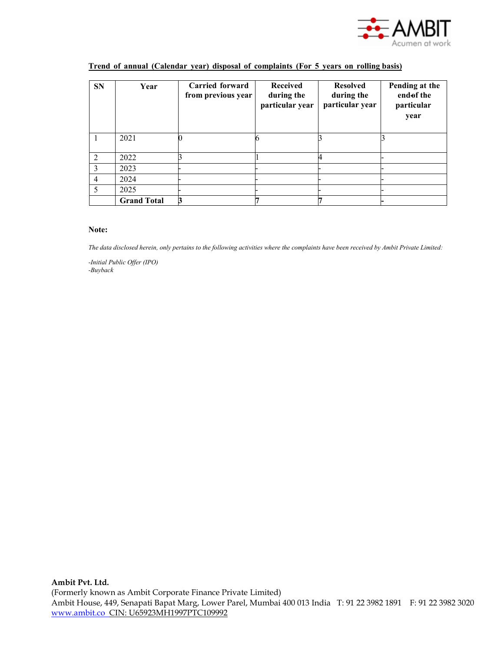

| <b>SN</b>     | Year               | Carried forward<br>from previous year | <b>Received</b><br>during the<br>particular year | <b>Resolved</b><br>during the<br>particular year | Pending at the<br>end of the<br>particular<br>year |
|---------------|--------------------|---------------------------------------|--------------------------------------------------|--------------------------------------------------|----------------------------------------------------|
|               | 2021               |                                       |                                                  |                                                  |                                                    |
| $\mathcal{D}$ | 2022               |                                       |                                                  |                                                  |                                                    |
| 3             | 2023               |                                       |                                                  |                                                  |                                                    |
| 4             | 2024               |                                       |                                                  |                                                  |                                                    |
|               | 2025               |                                       |                                                  |                                                  |                                                    |
|               | <b>Grand Total</b> | 3                                     |                                                  |                                                  |                                                    |

# **Trend of annual (Calendar year) disposal of complaints (For 5 years on rolling basis)**

#### **Note:**

*The data disclosed herein, only pertains to the following activities where the complaints have been received by Ambit Private Limited:*

*-Initial Public Offer (IPO) -Buyback*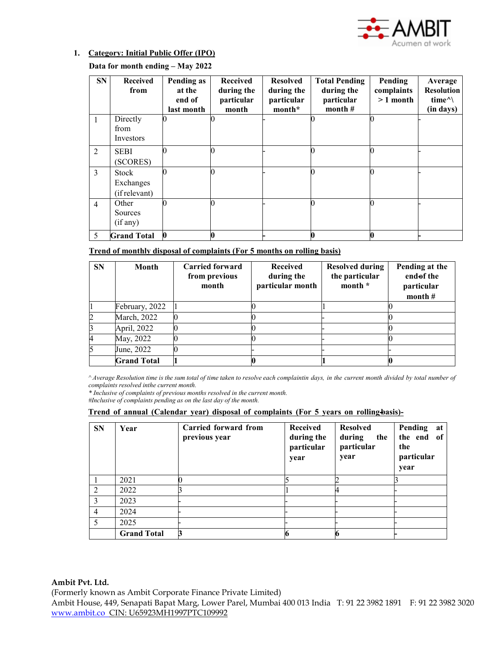

# **1. Category: Initial Public Offer (IPO)**

**Data for month ending – May 2022** 

| <b>SN</b>      | <b>Received</b><br>from             | Pending as<br>at the<br>end of<br>last month | <b>Received</b><br>during the<br>particular<br>month | <b>Resolved</b><br>during the<br>particular<br>month* | <b>Total Pending</b><br>during the<br>particular<br>month $#$ | Pending<br>complaints<br>$>1$ month | Average<br><b>Resolution</b><br>time $\land$<br>(in days) |
|----------------|-------------------------------------|----------------------------------------------|------------------------------------------------------|-------------------------------------------------------|---------------------------------------------------------------|-------------------------------------|-----------------------------------------------------------|
| 1              | Directly<br>from<br>Investors       |                                              |                                                      |                                                       |                                                               |                                     |                                                           |
| $\overline{2}$ | <b>SEBI</b><br>(SCORES)             |                                              |                                                      |                                                       |                                                               | 0                                   |                                                           |
| 3              | Stock<br>Exchanges<br>(if relevant) |                                              |                                                      |                                                       |                                                               | 0                                   |                                                           |
| $\overline{4}$ | Other<br>Sources<br>(if any)        |                                              |                                                      |                                                       |                                                               | 0                                   |                                                           |
| 5              | <b>Grand Total</b>                  |                                              |                                                      |                                                       |                                                               | 0                                   |                                                           |

**Trend of monthly disposal of complaints (For 5 months on rolling basis)**

| <b>SN</b>      | Month              | <b>Carried forward</b><br>from previous<br>month | Received<br>during the<br>particular month | <b>Resolved during</b><br>the particular<br>month * | Pending at the<br>end of the<br>particular<br>month $#$ |
|----------------|--------------------|--------------------------------------------------|--------------------------------------------|-----------------------------------------------------|---------------------------------------------------------|
|                | February, 2022     |                                                  |                                            |                                                     |                                                         |
| $\overline{c}$ | March, 2022        |                                                  |                                            |                                                     |                                                         |
| 3              | April, 2022        |                                                  |                                            |                                                     |                                                         |
| 4              | May, 2022          |                                                  |                                            |                                                     |                                                         |
|                | June, 2022         |                                                  |                                            |                                                     |                                                         |
|                | <b>Grand Total</b> |                                                  |                                            |                                                     |                                                         |

Average Resolution time is the sum total of time taken to resolve each complaintin days, in the current month divided by total number of *complaints resolved inthe current month.*

*\* Inclusive of complaints of previous months resolved in the current month.*

*#Inclusive of complaints pending as on the last day of the month.*

**Trend** of annual (Calendar year) disposal of complaints (For 5 years on rolling-basis)-

| <b>SN</b>      | Year               | Carried forward from<br>previous year | Received<br>during the<br>particular<br>year | <b>Resolved</b><br>during<br>the<br>particular<br>year | Pending<br>at<br>the end of<br>the<br>particular<br>year |
|----------------|--------------------|---------------------------------------|----------------------------------------------|--------------------------------------------------------|----------------------------------------------------------|
|                | 2021               |                                       |                                              |                                                        |                                                          |
| $\mathcal{L}$  | 2022               |                                       |                                              |                                                        |                                                          |
|                | 2023               |                                       |                                              |                                                        |                                                          |
| $\overline{4}$ | 2024               |                                       |                                              |                                                        |                                                          |
| 5              | 2025               |                                       |                                              |                                                        |                                                          |
|                | <b>Grand Total</b> |                                       |                                              |                                                        |                                                          |

## **Ambit Pvt. Ltd.**

(Formerly known as Ambit Corporate Finance Private Limited)

Ambit House, 449, Senapati Bapat Marg, Lower Parel, Mumbai 400 013 India T: 91 22 3982 1891 F: 91 22 3982 3020 [www.ambit.co](http://www.ambit.co/) CIN: U65923MH1997PTC109992